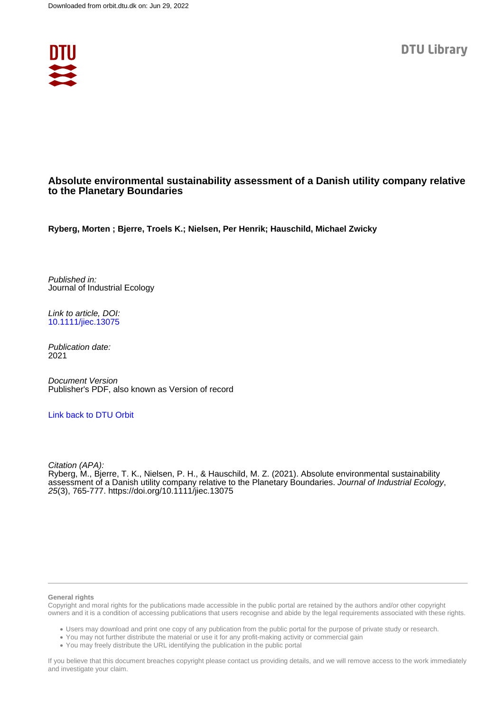

## **Absolute environmental sustainability assessment of a Danish utility company relative to the Planetary Boundaries**

**Ryberg, Morten ; Bjerre, Troels K.; Nielsen, Per Henrik; Hauschild, Michael Zwicky**

Published in: Journal of Industrial Ecology

Link to article, DOI: [10.1111/jiec.13075](https://doi.org/10.1111/jiec.13075)

Publication date: 2021

Document Version Publisher's PDF, also known as Version of record

## [Link back to DTU Orbit](https://orbit.dtu.dk/en/publications/8060fb96-0384-4dc1-85db-e0093498ff0d)

Citation (APA): Ryberg, M., Bjerre, T. K., Nielsen, P. H., & Hauschild, M. Z. (2021). Absolute environmental sustainability assessment of a Danish utility company relative to the Planetary Boundaries. Journal of Industrial Ecology, 25(3), 765-777.<https://doi.org/10.1111/jiec.13075>

#### **General rights**

Copyright and moral rights for the publications made accessible in the public portal are retained by the authors and/or other copyright owners and it is a condition of accessing publications that users recognise and abide by the legal requirements associated with these rights.

Users may download and print one copy of any publication from the public portal for the purpose of private study or research.

- You may not further distribute the material or use it for any profit-making activity or commercial gain
- You may freely distribute the URL identifying the publication in the public portal

If you believe that this document breaches copyright please contact us providing details, and we will remove access to the work immediately and investigate your claim.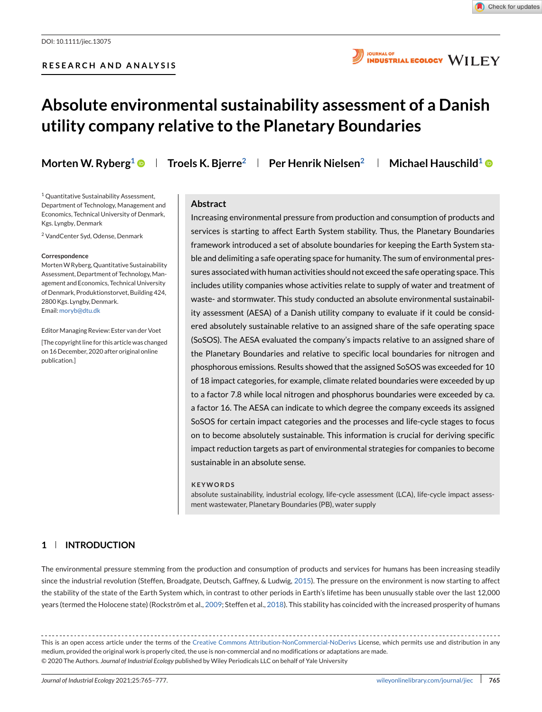

**JOURNAL OF INDUSTRIAL ECOLOGY WILEY** 

# **Absolute environmental sustainability assessment of a Danish utility company relative to the Planetary Boundaries**

**Morten W. Ryberg<sup>1</sup>**  $\bullet$  **| Troels K. Bjerre<sup>2</sup> | Per Henrik Nielsen<sup>2</sup> | Michael Hauschild<sup>1</sup>**  $\bullet$ 

<sup>1</sup> Quantitative Sustainability Assessment, Department of Technology, Management and Economics, Technical University of Denmark, Kgs. Lyngby, Denmark

<sup>2</sup> VandCenter Syd, Odense, Denmark

#### **Correspondence**

MortenW Ryberg, Quantitative Sustainability Assessment, Department of Technology, Management and Economics, Technical University of Denmark, Produktionstorvet, Building 424, 2800 Kgs. Lyngby, Denmark. Email: [moryb@dtu.dk](mailto:moryb@dtu.dk)

EditorManaging Review: Ester van der Voet [The copyright line for this article was changed on 16 December, 2020 after original online publication.]

#### **Abstract**

Increasing environmental pressure from production and consumption of products and services is starting to affect Earth System stability. Thus, the Planetary Boundaries framework introduced a set of absolute boundaries for keeping the Earth System stable and delimiting a safe operating space for humanity. The sum of environmental pressures associated with human activities should not exceed the safe operating space. This includes utility companies whose activities relate to supply of water and treatment of waste- and stormwater. This study conducted an absolute environmental sustainability assessment (AESA) of a Danish utility company to evaluate if it could be considered absolutely sustainable relative to an assigned share of the safe operating space (SoSOS). The AESA evaluated the company's impacts relative to an assigned share of the Planetary Boundaries and relative to specific local boundaries for nitrogen and phosphorous emissions. Results showed that the assigned SoSOS was exceeded for 10 of 18 impact categories, for example, climate related boundaries were exceeded by up to a factor 7.8 while local nitrogen and phosphorus boundaries were exceeded by ca. a factor 16. The AESA can indicate to which degree the company exceeds its assigned SoSOS for certain impact categories and the processes and life-cycle stages to focus on to become absolutely sustainable. This information is crucial for deriving specific impact reduction targets as part of environmental strategies for companies to become sustainable in an absolute sense.

#### **KEYWORDS**

absolute sustainability, industrial ecology, life-cycle assessment (LCA), life-cycle impact assessment wastewater, Planetary Boundaries (PB), water supply

## **1 INTRODUCTION**

The environmental pressure stemming from the production and consumption of products and services for humans has been increasing steadily since the industrial revolution (Steffen, Broadgate, Deutsch, Gaffney, & Ludwig, [2015\)](#page-13-0). The pressure on the environment is now starting to affect the stability of the state of the Earth System which, in contrast to other periods in Earth's lifetime has been unusually stable over the last 12,000 years (termed the Holocene state) (Rockström et al., [2009;](#page-13-0) Steffen et al., [2018\)](#page-13-0). This stability has coincided with the increased prosperity of humans

This is an open access article under the terms of the [Creative Commons Attribution-NonCommercial-NoDerivs](http://creativecommons.org/licenses/by-nc-nd/4.0/) License, which permits use and distribution in any medium, provided the original work is properly cited, the use is non-commercial and no modifications or adaptations are made. © 2020 The Authors. *Journal of Industrial Ecology* published by Wiley Periodicals LLC on behalf of Yale University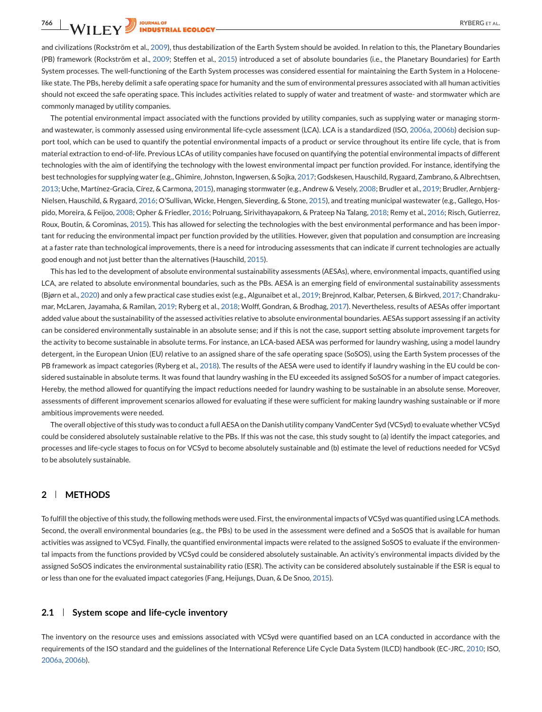**766** RYBERG ET AL.

and civilizations (Rockström et al., [2009\)](#page-13-0), thus destabilization of the Earth System should be avoided. In relation to this, the Planetary Boundaries (PB) framework (Rockström et al., [2009;](#page-13-0) Steffen et al., [2015\)](#page-13-0) introduced a set of absolute boundaries (i.e., the Planetary Boundaries) for Earth System processes. The well-functioning of the Earth System processes was considered essential for maintaining the Earth System in a Holocenelike state. The PBs, hereby delimit a safe operating space for humanity and the sum of environmental pressures associated with all human activities should not exceed the safe operating space. This includes activities related to supply of water and treatment of waste- and stormwater which are commonly managed by utility companies.

The potential environmental impact associated with the functions provided by utility companies, such as supplying water or managing stormand wastewater, is commonly assessed using environmental life-cycle assessment (LCA). LCA is a standardized (ISO, [2006a,](#page-12-0) [2006b\)](#page-12-0) decision support tool, which can be used to quantify the potential environmental impacts of a product or service throughout its entire life cycle, that is from material extraction to end-of-life. Previous LCAs of utility companies have focused on quantifying the potential environmental impacts of different technologies with the aim of identifying the technology with the lowest environmental impact per function provided. For instance, identifying the best technologies for supplying water (e.g., Ghimire, Johnston, Ingwersen, & Sojka, [2017;](#page-12-0) Godskesen, Hauschild, Rygaard, Zambrano, & Albrechtsen, [2013;](#page-12-0) Uche, Martínez-Gracia, Círez, & Carmona, [2015\)](#page-13-0), managing stormwater (e.g., Andrew & Vesely, [2008;](#page-11-0) Brudler et al., [2019;](#page-11-0) Brudler, Arnbjerg-Nielsen, Hauschild, & Rygaard, [2016;](#page-11-0) O'Sullivan, Wicke, Hengen, Sieverding, & Stone, [2015\)](#page-12-0), and treating municipal wastewater (e.g., Gallego, Hospido, Moreira, & Feijoo, [2008;](#page-12-0) Opher & Friedler, [2016;](#page-12-0) Polruang, Sirivithayapakorn, & Prateep Na Talang, [2018;](#page-13-0) Remy et al., [2016;](#page-13-0) Risch, Gutierrez, Roux, Boutin, & Corominas, [2015\)](#page-13-0). This has allowed for selecting the technologies with the best environmental performance and has been important for reducing the environmental impact per function provided by the utilities. However, given that population and consumption are increasing at a faster rate than technological improvements, there is a need for introducing assessments that can indicate if current technologies are actually good enough and not just better than the alternatives (Hauschild, [2015\)](#page-12-0).

This has led to the development of absolute environmental sustainability assessments (AESAs), where, environmental impacts, quantified using LCA, are related to absolute environmental boundaries, such as the PBs. AESA is an emerging field of environmental sustainability assessments (Bjørn et al., [2020\)](#page-11-0) and only a few practical case studies exist (e.g., Algunaibet et al., [2019;](#page-11-0) Brejnrod, Kalbar, Petersen, & Birkved, [2017;](#page-11-0) Chandrakumar, McLaren, Jayamaha, & Ramilan, [2019;](#page-12-0) Ryberg et al., [2018;](#page-13-0) Wolff, Gondran, & Brodhag, [2017\)](#page-13-0). Nevertheless, results of AESAs offer important added value about the sustainability of the assessed activities relative to absolute environmental boundaries. AESAs support assessing if an activity can be considered environmentally sustainable in an absolute sense; and if this is not the case, support setting absolute improvement targets for the activity to become sustainable in absolute terms. For instance, an LCA-based AESA was performed for laundry washing, using a model laundry detergent, in the European Union (EU) relative to an assigned share of the safe operating space (SoSOS), using the Earth System processes of the PB framework as impact categories (Ryberg et al., [2018\)](#page-13-0). The results of the AESA were used to identify if laundry washing in the EU could be considered sustainable in absolute terms. It was found that laundry washing in the EU exceeded its assigned SoSOS for a number of impact categories. Hereby, the method allowed for quantifying the impact reductions needed for laundry washing to be sustainable in an absolute sense. Moreover, assessments of different improvement scenarios allowed for evaluating if these were sufficient for making laundry washing sustainable or if more ambitious improvements were needed.

The overall objective of this study was to conduct a full AESA on the Danish utility company VandCenter Syd (VCSyd) to evaluate whether VCSyd could be considered absolutely sustainable relative to the PBs. If this was not the case, this study sought to (a) identify the impact categories, and processes and life-cycle stages to focus on for VCSyd to become absolutely sustainable and (b) estimate the level of reductions needed for VCSyd to be absolutely sustainable.

## **2 METHODS**

To fulfill the objective of this study, the following methods were used. First, the environmental impacts of VCSyd was quantified using LCA methods. Second, the overall environmental boundaries (e.g., the PBs) to be used in the assessment were defined and a SoSOS that is available for human activities was assigned to VCSyd. Finally, the quantified environmental impacts were related to the assigned SoSOS to evaluate if the environmental impacts from the functions provided by VCSyd could be considered absolutely sustainable. An activity's environmental impacts divided by the assigned SoSOS indicates the environmental sustainability ratio (ESR). The activity can be considered absolutely sustainable if the ESR is equal to or less than one for the evaluated impact categories (Fang, Heijungs, Duan, & De Snoo, [2015\)](#page-12-0).

### **2.1 System scope and life-cycle inventory**

The inventory on the resource uses and emissions associated with VCSyd were quantified based on an LCA conducted in accordance with the requirements of the ISO standard and the guidelines of the International Reference Life Cycle Data System (ILCD) handbook (EC-JRC, [2010;](#page-12-0) ISO, [2006a,](#page-12-0) [2006b\)](#page-12-0).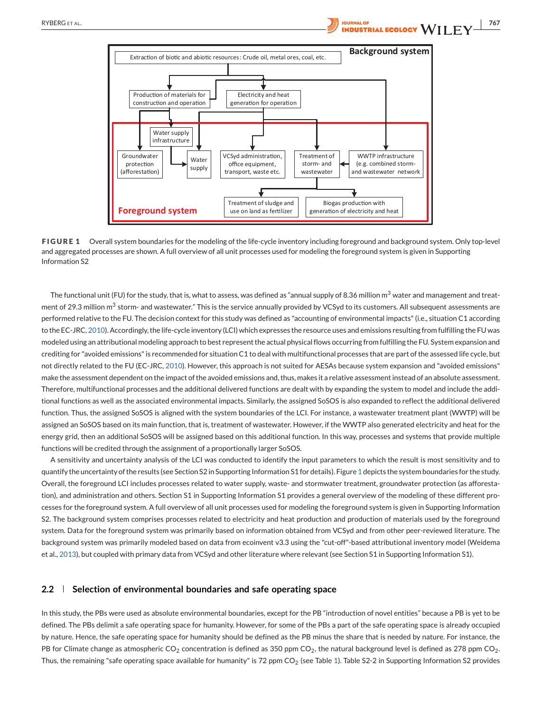<span id="page-3-0"></span>

**FIGURE 1** Overall system boundaries for the modeling of the life-cycle inventory including foreground and background system. Only top-level and aggregated processes are shown. A full overview of all unit processes used for modeling the foreground system is given in Supporting Information S2

The functional unit (FU) for the study, that is, what to assess, was defined as "annual supply of 8.36 million m<sup>3</sup> water and management and treatment of 29.3 million  $m<sup>3</sup>$  storm- and wastewater." This is the service annually provided by VCSyd to its customers. All subsequent assessments are performed relative to the FU. The decision context for this study was defined as "accounting of environmental impacts" (i.e., situation C1 according to the EC-JRC, [2010\)](#page-12-0). Accordingly, the life-cycle inventory (LCI) which expresses the resource uses and emissions resulting from fulfilling the FU was modeled using an attributional modeling approach to best represent the actual physical flows occurring from fulfilling the FU. System expansion and crediting for "avoided emissions" is recommended for situation C1 to deal with multifunctional processes that are part of the assessed life cycle, but not directly related to the FU (EC-JRC, [2010\)](#page-12-0). However, this approach is not suited for AESAs because system expansion and "avoided emissions" make the assessment dependent on the impact of the avoided emissions and, thus, makes it a relative assessment instead of an absolute assessment. Therefore, multifunctional processes and the additional delivered functions are dealt with by expanding the system to model and include the additional functions as well as the associated environmental impacts. Similarly, the assigned SoSOS is also expanded to reflect the additional delivered function. Thus, the assigned SoSOS is aligned with the system boundaries of the LCI. For instance, a wastewater treatment plant (WWTP) will be assigned an SoSOS based on its main function, that is, treatment of wastewater. However, if the WWTP also generated electricity and heat for the energy grid, then an additional SoSOS will be assigned based on this additional function. In this way, processes and systems that provide multiple functions will be credited through the assignment of a proportionally larger SoSOS.

A sensitivity and uncertainty analysis of the LCI was conducted to identify the input parameters to which the result is most sensitivity and to quantify the uncertainty of the results (see Section S2 in Supporting Information S1 for details). Figure 1 depicts the system boundaries for the study. Overall, the foreground LCI includes processes related to water supply, waste- and stormwater treatment, groundwater protection (as afforestation), and administration and others. Section S1 in Supporting Information S1 provides a general overview of the modeling of these different processes for the foreground system. A full overview of all unit processes used for modeling the foreground system is given in Supporting Information S2. The background system comprises processes related to electricity and heat production and production of materials used by the foreground system. Data for the foreground system was primarily based on information obtained from VCSyd and from other peer-reviewed literature. The background system was primarily modeled based on data from ecoinvent v3.3 using the "cut-off"-based attributional inventory model (Weidema et al., [2013\)](#page-13-0), but coupled with primary data from VCSyd and other literature where relevant (see Section S1 in Supporting Information S1).

#### **2.2 Selection of environmental boundaries and safe operating space**

In this study, the PBs were used as absolute environmental boundaries, except for the PB "introduction of novel entities" because a PB is yet to be defined. The PBs delimit a safe operating space for humanity. However, for some of the PBs a part of the safe operating space is already occupied by nature. Hence, the safe operating space for humanity should be defined as the PB minus the share that is needed by nature. For instance, the PB for Climate change as atmospheric  $CO_2$  concentration is defined as 350 ppm  $CO_2$ , the natural background level is defined as 278 ppm  $CO_2$ . Thus, the remaining "safe operating space available for humanity" is 72 ppm  $CO<sub>2</sub>$  (see Table [1\)](#page-4-0). Table S2-2 in Supporting Information S2 provides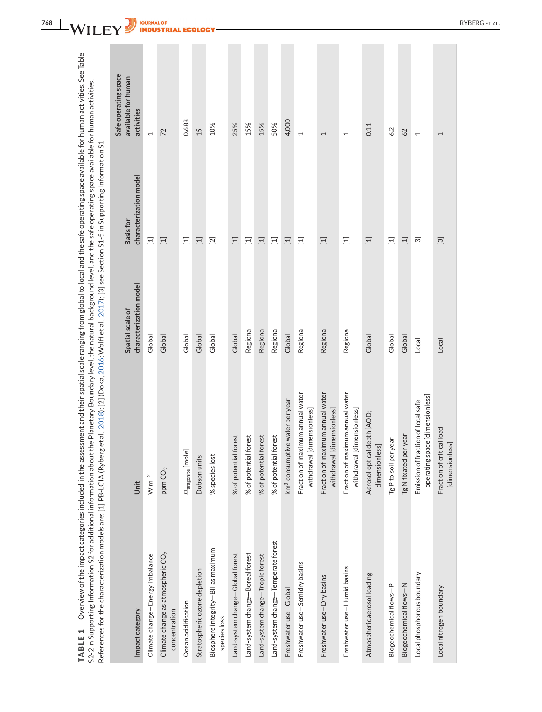<span id="page-4-0"></span>

| ssessment and their spatial scale ranging from global to local and the safe operating space available for human activities. See Table<br>ut the Planetary Boundary level, the natural background level, and the safe operating space available for human activities.<br>erg et al., 2018); [2] (Doka, 2016; Wolff et al., 2017); [3] see Section S1-5 in Supporting Information د<br>I<br>¢<br>l<br>l<br>i<br>Ś<br>Ş<br>۔<br>ا<br>:<br>;<br>i<br>ă<br>i<br>i<br><br>$-1$<br>i |
|-------------------------------------------------------------------------------------------------------------------------------------------------------------------------------------------------------------------------------------------------------------------------------------------------------------------------------------------------------------------------------------------------------------------------------------------------------------------------------|
|                                                                                                                                                                                                                                                                                                                                                                                                                                                                               |

| Impact category                                      | Unit                                                                  | characterization model<br>Spatial scale of | characterization model<br><b>Basis for</b>                                                                                                                                                                                                                                                                                   | Safe operating space<br>available for human<br>activities |
|------------------------------------------------------|-----------------------------------------------------------------------|--------------------------------------------|------------------------------------------------------------------------------------------------------------------------------------------------------------------------------------------------------------------------------------------------------------------------------------------------------------------------------|-----------------------------------------------------------|
| Climate change-Energy imbalance                      | $W m^{-2}$                                                            | Global                                     | $\Xi$                                                                                                                                                                                                                                                                                                                        | $\overline{ }$                                            |
| Climate change as atmospheric $CO2$<br>concentration | ppm $CO2$                                                             | Global                                     | $\Xi$                                                                                                                                                                                                                                                                                                                        | 72                                                        |
| Ocean acidification                                  | $\Omega_{\rm{aragonite}}$ [mole]                                      | Global                                     | $\Xi$                                                                                                                                                                                                                                                                                                                        | 0.688                                                     |
| Stratospheric ozone depletion                        | Dobson units                                                          | Global                                     | $\Xi$                                                                                                                                                                                                                                                                                                                        | 15                                                        |
| Biosphere integrity-BII as maximum<br>species loss   | % species lost                                                        | Global                                     | $\boxed{2}$                                                                                                                                                                                                                                                                                                                  | 10%                                                       |
| Land-system change-Global forest                     | % of potential forest                                                 | Global                                     | $\Xi$                                                                                                                                                                                                                                                                                                                        | 25%                                                       |
| Land-system change-Boreal forest                     | % of potential forest                                                 | Regional                                   | $\Xi$                                                                                                                                                                                                                                                                                                                        | 15%                                                       |
| Land-system change-Tropic forest                     | % of potential forest                                                 | Regional                                   | $\Xi$                                                                                                                                                                                                                                                                                                                        | 15%                                                       |
| Land-system change-Temperate forest                  | % of potential forest                                                 | Regional                                   | $\Xi$                                                                                                                                                                                                                                                                                                                        | 50%                                                       |
| Freshwater use-Global                                | km <sup>3</sup> consumptive water per year                            | Global                                     | $\Xi$                                                                                                                                                                                                                                                                                                                        | 4,000                                                     |
| Freshwater use-Semidry basins                        | Fraction of maximum annual water<br>withdrawal [dimensionless]        | Regional                                   | Ξ                                                                                                                                                                                                                                                                                                                            | $\overline{ }$                                            |
| Freshwater use-Dry basins                            | Fraction of maximum annual water<br>withdrawal [dimensionless]        | Regional                                   | $\Xi$                                                                                                                                                                                                                                                                                                                        | $\overline{\phantom{0}}$                                  |
| Freshwater use-Humid basins                          | Fraction of maximum annual water<br>withdrawal [dimensionless]        | Regional                                   | Ξ                                                                                                                                                                                                                                                                                                                            | $\overline{\phantom{0}}$                                  |
| Atmospheric aerosol loading                          | Aerosol optical depth [AOD;<br>dimensionless]                         | Global                                     | $\Xi$                                                                                                                                                                                                                                                                                                                        | 0.11                                                      |
| Biogeochemical flows-P                               | Tg P to soil per year                                                 | Global                                     | $\Xi$                                                                                                                                                                                                                                                                                                                        | 6.2                                                       |
| Biogeochemical flows-N                               | Tg N fixated per year                                                 | Global                                     | $\Xi$                                                                                                                                                                                                                                                                                                                        | 62                                                        |
| Local phosphorous boundary                           | operating space [dimensionless]<br>Emission of fraction of local safe | Local                                      | $\boxed{3}$                                                                                                                                                                                                                                                                                                                  | $\overline{\phantom{0}}$                                  |
| Local nitrogen boundary                              | Fraction of critical load<br>[dimensionless]                          | Local                                      | $[3] % \includegraphics[width=0.9\columnwidth]{figures/fig_10.pdf} \caption{Boxplot of the cusp distribution for the cusp distribution of the cusp distribution. The solid lines are the same as a function of the cusp distribution. The solid lines are the same as a function of the cusp distribution.} \label{fig:2} %$ | 1                                                         |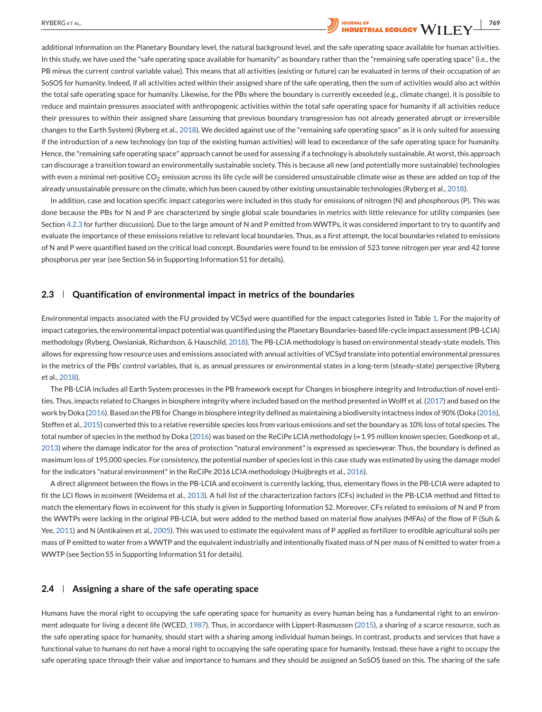# <span id="page-5-0"></span>RYBERG ET AL. *RYBERG ET AL. The Little Little Little Little Little Little Little Little Little Little Little Little Little Little Little Little Little Little Little Little Little Little Little Little Little Little Li*

additional information on the Planetary Boundary level, the natural background level, and the safe operating space available for human activities. In this study, we have used the "safe operating space available for humanity" as boundary rather than the "remaining safe operating space" (i.e., the PB minus the current control variable value). This means that all activities (existing or future) can be evaluated in terms of their occupation of an SoSOS for humanity. Indeed, if all activities acted within their assigned share of the safe operating, then the sum of activities would also act within the total safe operating space for humanity. Likewise, for the PBs where the boundary is currently exceeded (e.g., climate change), it is possible to reduce and maintain pressures associated with anthropogenic activities within the total safe operating space for humanity if all activities reduce their pressures to within their assigned share (assuming that previous boundary transgression has not already generated abrupt or irreversible changes to the Earth System) (Ryberg et al., [2018\)](#page-13-0). We decided against use of the "remaining safe operating space" as it is only suited for assessing if the introduction of a new technology (on top of the existing human activities) will lead to exceedance of the safe operating space for humanity. Hence, the "remaining safe operating space" approach cannot be used for assessing if a technology is absolutely sustainable. At worst, this approach can discourage a transition toward an environmentally sustainable society. This is because all new (and potentially more sustainable) technologies with even a minimal net-positive CO<sub>2</sub> emission across its life cycle will be considered unsustainable climate wise as these are added on top of the already unsustainable pressure on the climate, which has been caused by other existing unsustainable technologies (Ryberg et al., [2018\)](#page-13-0).

In addition, case and location specific impact categories were included in this study for emissions of nitrogen (N) and phosphorous (P). This was done because the PBs for N and P are characterized by single global scale boundaries in metrics with little relevance for utility companies (see Section [4.2.3](#page-10-0) for further discussion). Due to the large amount of N and P emitted from WWTPs, it was considered important to try to quantify and evaluate the importance of these emissions relative to relevant local boundaries. Thus, as a first attempt, the local boundaries related to emissions of N and P were quantified based on the critical load concept. Boundaries were found to be emission of 523 tonne nitrogen per year and 42 tonne phosphorus per year (see Section S6 in Supporting Information S1 for details).

#### **2.3 Quantification of environmental impact in metrics of the boundaries**

Environmental impacts associated with the FU provided by VCSyd were quantified for the impact categories listed in Table [1.](#page-4-0) For the majority of impact categories, the environmental impact potential was quantified using the Planetary Boundaries-based life-cycle impact assessment (PB-LCIA) methodology (Ryberg, Owsianiak, Richardson, & Hauschild, [2018\)](#page-13-0). The PB-LCIA methodology is based on environmental steady-state models. This allows for expressing how resource uses and emissions associated with annual activities of VCSyd translate into potential environmental pressures in the metrics of the PBs' control variables, that is, as annual pressures or environmental states in a long-term (steady-state) perspective (Ryberg et al., [2018\)](#page-13-0).

The PB-LCIA includes all Earth System processes in the PB framework except for Changes in biosphere integrity and Introduction of novel entities. Thus, impacts related to Changes in biosphere integrity where included based on the method presented in Wolff et al. [\(2017\)](#page-13-0) and based on the work by Doka [\(2016\)](#page-12-0). Based on the PB for Change in biosphere integrity defined as maintaining a biodiversity intactness index of 90% (Doka [\(2016\)](#page-12-0), Steffen et al., [2015\)](#page-13-0) converted this to a relative reversible species loss from various emissions and set the boundary as 10% loss of total species. The total number of species in the method by Doka [\(2016\)](#page-12-0) was based on the ReCiPe LCIA methodology (=1.95 million known species; Goedkoop et al., [2013\)](#page-12-0) where the damage indicator for the area of protection "natural environment" is expressed as species∙year. Thus, the boundary is defined as maximum loss of 195,000 species. For consistency, the potential number of species lost in this case study was estimated by using the damage model for the indicators "natural environment" in the ReCiPe 2016 LCIA methodology (Huijbregts et al., [2016\)](#page-12-0).

A direct alignment between the flows in the PB-LCIA and ecoinvent is currently lacking, thus, elementary flows in the PB-LCIA were adapted to fit the LCI flows in ecoinvent (Weidema et al., [2013\)](#page-13-0). A full list of the characterization factors (CFs) included in the PB-LCIA method and fitted to match the elementary flows in ecoinvent for this study is given in Supporting Information S2. Moreover, CFs related to emissions of N and P from the WWTPs were lacking in the original PB-LCIA, but were added to the method based on material flow analyses (MFAs) of the flow of P (Suh & Yee, [2011\)](#page-13-0) and N (Antikainen et al., [2005\)](#page-11-0). This was used to estimate the equivalent mass of P applied as fertilizer to erodible agricultural soils per mass of P emitted to water from a WWTP and the equivalent industrially and intentionally fixated mass of N per mass of N emitted to water from a WWTP (see Section S5 in Supporting Information S1 for details).

#### **2.4 Assigning a share of the safe operating space**

Humans have the moral right to occupying the safe operating space for humanity as every human being has a fundamental right to an environment adequate for living a decent life (WCED, [1987\)](#page-13-0). Thus, in accordance with Lippert-Rasmussen [\(2015\)](#page-12-0), a sharing of a scarce resource, such as the safe operating space for humanity, should start with a sharing among individual human beings. In contrast, products and services that have a functional value to humans do not have a moral right to occupying the safe operating space for humanity. Instead, these have a right to occupy the safe operating space through their value and importance to humans and they should be assigned an SoSOS based on this. The sharing of the safe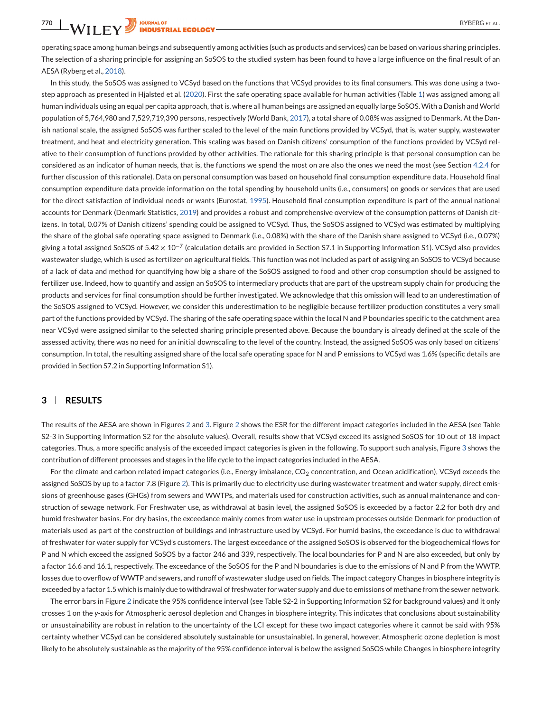**TOURNAL OF RYBERG ET AL.**<br> **THE ECOLOGY RYBERG ET AL.** 

operating space among human beings and subsequently among activities (such as products and services) can be based on various sharing principles. The selection of a sharing principle for assigning an SoSOS to the studied system has been found to have a large influence on the final result of an AESA (Ryberg et al., [2018\)](#page-13-0).

In this study, the SoSOS was assigned to VCSyd based on the functions that VCSyd provides to its final consumers. This was done using a twostep approach as presented in Hjalsted et al. [\(2020\)](#page-12-0). First the safe operating space available for human activities (Table [1\)](#page-4-0) was assigned among all human individuals using an equal per capita approach, that is, where all human beings are assigned an equally large SoSOS.With a Danish andWorld population of 5,764,980 and 7,529,719,390 persons, respectively (World Bank, [2017\)](#page-13-0), a total share of 0.08% was assigned to Denmark. At the Danish national scale, the assigned SoSOS was further scaled to the level of the main functions provided by VCSyd, that is, water supply, wastewater treatment, and heat and electricity generation. This scaling was based on Danish citizens' consumption of the functions provided by VCSyd relative to their consumption of functions provided by other activities. The rationale for this sharing principle is that personal consumption can be considered as an indicator of human needs, that is, the functions we spend the most on are also the ones we need the most (see Section [4.2.4](#page-10-0) for further discussion of this rationale). Data on personal consumption was based on household final consumption expenditure data. Household final consumption expenditure data provide information on the total spending by household units (i.e., consumers) on goods or services that are used for the direct satisfaction of individual needs or wants (Eurostat, [1995\)](#page-12-0). Household final consumption expenditure is part of the annual national accounts for Denmark (Denmark Statistics, [2019\)](#page-13-0) and provides a robust and comprehensive overview of the consumption patterns of Danish citizens. In total, 0.07% of Danish citizens' spending could be assigned to VCSyd. Thus, the SoSOS assigned to VCSyd was estimated by multiplying the share of the global safe operating space assigned to Denmark (i.e., 0.08%) with the share of the Danish share assigned to VCSyd (i.e., 0.07%) giving a total assigned SoSOS of 5.42  $\times$  10<sup>-7</sup> (calculation details are provided in Section S7.1 in Supporting Information S1). VCSyd also provides wastewater sludge, which is used as fertilizer on agricultural fields. This function was not included as part of assigning an SoSOS to VCSyd because of a lack of data and method for quantifying how big a share of the SoSOS assigned to food and other crop consumption should be assigned to fertilizer use. Indeed, how to quantify and assign an SoSOS to intermediary products that are part of the upstream supply chain for producing the products and services for final consumption should be further investigated. We acknowledge that this omission will lead to an underestimation of the SoSOS assigned to VCSyd. However, we consider this underestimation to be negligible because fertilizer production constitutes a very small part of the functions provided by VCSyd. The sharing of the safe operating space within the local N and P boundaries specific to the catchment area near VCSyd were assigned similar to the selected sharing principle presented above. Because the boundary is already defined at the scale of the assessed activity, there was no need for an initial downscaling to the level of the country. Instead, the assigned SoSOS was only based on citizens' consumption. In total, the resulting assigned share of the local safe operating space for N and P emissions to VCSyd was 1.6% (specific details are provided in Section S7.2 in Supporting Information S1).

#### **3 RESULTS**

The results of the AESA are shown in Figures [2](#page-7-0) and [3.](#page-7-0) Figure [2](#page-7-0) shows the ESR for the different impact categories included in the AESA (see Table S2-3 in Supporting Information S2 for the absolute values). Overall, results show that VCSyd exceed its assigned SoSOS for 10 out of 18 impact categories. Thus, a more specific analysis of the exceeded impact categories is given in the following. To support such analysis, Figure [3](#page-7-0) shows the contribution of different processes and stages in the life cycle to the impact categories included in the AESA.

For the climate and carbon related impact categories (i.e., Energy imbalance,  $CO<sub>2</sub>$  concentration, and Ocean acidification), VCSyd exceeds the assigned SoSOS by up to a factor 7.8 (Figure [2\)](#page-7-0). This is primarily due to electricity use during wastewater treatment and water supply, direct emissions of greenhouse gases (GHGs) from sewers and WWTPs, and materials used for construction activities, such as annual maintenance and construction of sewage network. For Freshwater use, as withdrawal at basin level, the assigned SoSOS is exceeded by a factor 2.2 for both dry and humid freshwater basins. For dry basins, the exceedance mainly comes from water use in upstream processes outside Denmark for production of materials used as part of the construction of buildings and infrastructure used by VCSyd. For humid basins, the exceedance is due to withdrawal of freshwater for water supply for VCSyd's customers. The largest exceedance of the assigned SoSOS is observed for the biogeochemical flows for P and N which exceed the assigned SoSOS by a factor 246 and 339, respectively. The local boundaries for P and N are also exceeded, but only by a factor 16.6 and 16.1, respectively. The exceedance of the SoSOS for the P and N boundaries is due to the emissions of N and P from the WWTP, losses due to overflow of WWTP and sewers, and runoff of wastewater sludge used on fields. The impact category Changes in biosphere integrity is exceeded by a factor 1.5 which is mainly due to withdrawal of freshwater for water supply and due to emissions of methane from the sewer network.

The error bars in Figure [2](#page-7-0) indicate the 95% confidence interval (see Table S2-2 in Supporting Information S2 for background values) and it only crosses 1 on the *y*-axis for Atmospheric aerosol depletion and Changes in biosphere integrity. This indicates that conclusions about sustainability or unsustainability are robust in relation to the uncertainty of the LCI except for these two impact categories where it cannot be said with 95% certainty whether VCSyd can be considered absolutely sustainable (or unsustainable). In general, however, Atmospheric ozone depletion is most likely to be absolutely sustainable as the majority of the 95% confidence interval is below the assigned SoSOS while Changes in biosphere integrity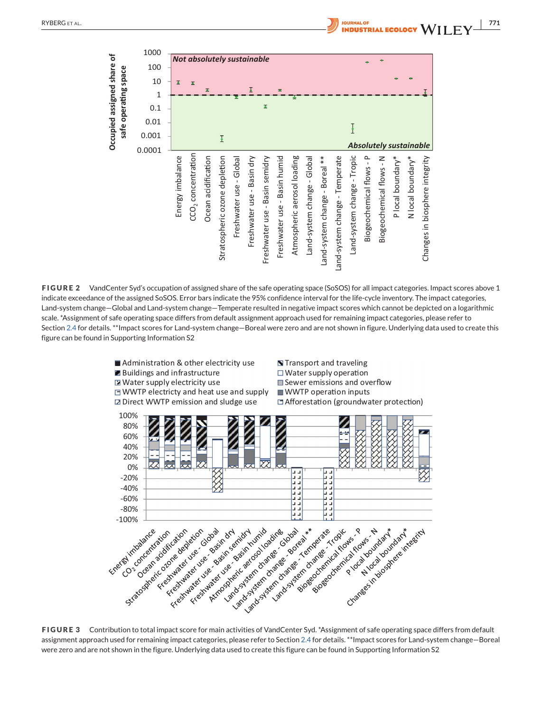<span id="page-7-0"></span>

**FIGURE 2** VandCenter Syd's occupation of assigned share of the safe operating space (SoSOS) for all impact categories. Impact scores above 1 indicate exceedance of the assigned SoSOS. Error bars indicate the 95% confidence interval for the life-cycle inventory. The impact categories, Land-system change—Global and Land-system change—Temperate resulted in negative impact scores which cannot be depicted on a logarithmic scale. \*Assignment of safe operating space differs from default assignment approach used for remaining impact categories, please refer to Section [2.4](#page-5-0) for details. \*\*Impact scores for Land-system change—Boreal were zero and are not shown in figure. Underlying data used to create this figure can be found in Supporting Information S2



assignment approach used for remaining impact categories, please refer to Section [2.4](#page-5-0) for details. \*\*Impact scores for Land-system change—Boreal were zero and are not shown in the figure. Underlying data used to create this figure can be found in Supporting Information S2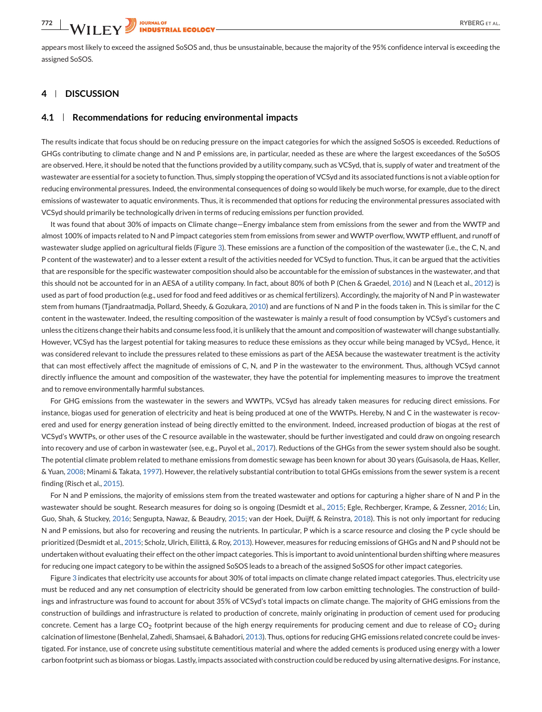appears most likely to exceed the assigned SoSOS and, thus be unsustainable, because the majority of the 95% confidence interval is exceeding the assigned SoSOS.

### **4 DISCUSSION**

#### **4.1 Recommendations for reducing environmental impacts**

The results indicate that focus should be on reducing pressure on the impact categories for which the assigned SoSOS is exceeded. Reductions of GHGs contributing to climate change and N and P emissions are, in particular, needed as these are where the largest exceedances of the SoSOS are observed. Here, it should be noted that the functions provided by a utility company, such as VCSyd, that is, supply of water and treatment of the wastewater are essential for a society to function. Thus, simply stopping the operation of VCSyd and its associated functions is not a viable option for reducing environmental pressures. Indeed, the environmental consequences of doing so would likely be much worse, for example, due to the direct emissions of wastewater to aquatic environments. Thus, it is recommended that options for reducing the environmental pressures associated with VCSyd should primarily be technologically driven in terms of reducing emissions per function provided.

It was found that about 30% of impacts on Climate change—Energy imbalance stem from emissions from the sewer and from the WWTP and almost 100% of impacts related to N and P impact categories stem from emissions from sewer and WWTP overflow, WWTP effluent, and runoff of wastewater sludge applied on agricultural fields (Figure [3\)](#page-7-0). These emissions are a function of the composition of the wastewater (i.e., the C, N, and P content of the wastewater) and to a lesser extent a result of the activities needed for VCSyd to function. Thus, it can be argued that the activities that are responsible for the specific wastewater composition should also be accountable for the emission of substances in the wastewater, and that this should not be accounted for in an AESA of a utility company. In fact, about 80% of both P (Chen & Graedel, [2016\)](#page-12-0) and N (Leach et al., [2012\)](#page-12-0) is used as part of food production (e.g., used for food and feed additives or as chemical fertilizers). Accordingly, the majority of N and P in wastewater stem from humans (Tjandraatmadja, Pollard, Sheedy, & Gozukara, [2010\)](#page-13-0) and are functions of N and P in the foods taken in. This is similar for the C content in the wastewater. Indeed, the resulting composition of the wastewater is mainly a result of food consumption by VCSyd's customers and unless the citizens change their habits and consume less food, it is unlikely that the amount and composition of wastewater will change substantially. However, VCSyd has the largest potential for taking measures to reduce these emissions as they occur while being managed by VCSyd,. Hence, it was considered relevant to include the pressures related to these emissions as part of the AESA because the wastewater treatment is the activity that can most effectively affect the magnitude of emissions of C, N, and P in the wastewater to the environment. Thus, although VCSyd cannot directly influence the amount and composition of the wastewater, they have the potential for implementing measures to improve the treatment and to remove environmentally harmful substances.

For GHG emissions from the wastewater in the sewers and WWTPs, VCSyd has already taken measures for reducing direct emissions. For instance, biogas used for generation of electricity and heat is being produced at one of the WWTPs. Hereby, N and C in the wastewater is recovered and used for energy generation instead of being directly emitted to the environment. Indeed, increased production of biogas at the rest of VCSyd's WWTPs, or other uses of the C resource available in the wastewater, should be further investigated and could draw on ongoing research into recovery and use of carbon in wastewater (see, e.g., Puyol et al., [2017\)](#page-13-0). Reductions of the GHGs from the sewer system should also be sought. The potential climate problem related to methane emissions from domestic sewage has been known for about 30 years (Guisasola, de Haas, Keller, & Yuan, [2008;](#page-12-0) Minami & Takata, [1997\)](#page-12-0). However, the relatively substantial contribution to total GHGs emissions from the sewer system is a recent finding (Risch et al., [2015\)](#page-13-0).

For N and P emissions, the majority of emissions stem from the treated wastewater and options for capturing a higher share of N and P in the wastewater should be sought. Research measures for doing so is ongoing (Desmidt et al., [2015;](#page-12-0) Egle, Rechberger, Krampe, & Zessner, [2016;](#page-12-0) Lin, Guo, Shah, & Stuckey, [2016;](#page-12-0) Sengupta, Nawaz, & Beaudry, [2015;](#page-13-0) van der Hoek, Duijff, & Reinstra, [2018\)](#page-13-0). This is not only important for reducing N and P emissions, but also for recovering and reusing the nutrients. In particular, P which is a scarce resource and closing the P cycle should be prioritized (Desmidt et al., [2015;](#page-12-0) Scholz, Ulrich, Eilittä, & Roy, [2013\)](#page-13-0). However, measures for reducing emissions of GHGs and N and P should not be undertaken without evaluating their effect on the other impact categories. This is important to avoid unintentional burden shifting where measures for reducing one impact category to be within the assigned SoSOS leads to a breach of the assigned SoSOS for other impact categories.

Figure [3](#page-7-0) indicates that electricity use accounts for about 30% of total impacts on climate change related impact categories. Thus, electricity use must be reduced and any net consumption of electricity should be generated from low carbon emitting technologies. The construction of buildings and infrastructure was found to account for about 35% of VCSyd's total impacts on climate change. The majority of GHG emissions from the construction of buildings and infrastructure is related to production of concrete, mainly originating in production of cement used for producing concrete. Cement has a large  $CO_2$  footprint because of the high energy requirements for producing cement and due to release of  $CO_2$  during calcination of limestone (Benhelal, Zahedi, Shamsaei, & Bahadori, [2013\)](#page-11-0). Thus, options for reducing GHG emissions related concrete could be investigated. For instance, use of concrete using substitute cementitious material and where the added cements is produced using energy with a lower carbon footprint such as biomass or biogas. Lastly, impacts associated with construction could be reduced by using alternative designs. For instance,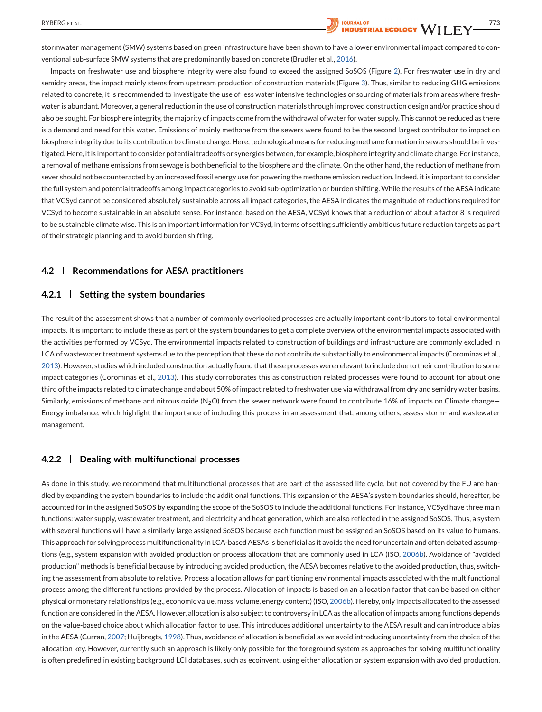

Impacts on freshwater use and biosphere integrity were also found to exceed the assigned SoSOS (Figure [2\)](#page-7-0). For freshwater use in dry and semidry areas, the impact mainly stems from upstream production of construction materials (Figure [3\)](#page-7-0). Thus, similar to reducing GHG emissions related to concrete, it is recommended to investigate the use of less water intensive technologies or sourcing of materials from areas where freshwater is abundant. Moreover, a general reduction in the use of construction materials through improved construction design and/or practice should also be sought. For biosphere integrity, the majority of impacts come from the withdrawal of water for water supply. This cannot be reduced as there is a demand and need for this water. Emissions of mainly methane from the sewers were found to be the second largest contributor to impact on biosphere integrity due to its contribution to climate change. Here, technological means for reducing methane formation in sewers should be investigated. Here, it is important to consider potential tradeoffs or synergies between, for example, biosphere integrity and climate change. For instance, a removal of methane emissions from sewage is both beneficial to the biosphere and the climate. On the other hand, the reduction of methane from sever should not be counteracted by an increased fossil energy use for powering the methane emission reduction. Indeed, it is important to consider the full system and potential tradeoffs among impact categories to avoid sub-optimization or burden shifting.While the results of the AESA indicate that VCSyd cannot be considered absolutely sustainable across all impact categories, the AESA indicates the magnitude of reductions required for VCSyd to become sustainable in an absolute sense. For instance, based on the AESA, VCSyd knows that a reduction of about a factor 8 is required to be sustainable climate wise. This is an important information for VCSyd, in terms of setting sufficiently ambitious future reduction targets as part of their strategic planning and to avoid burden shifting.

## **4.2 Recommendations for AESA practitioners**

#### **4.2.1 Setting the system boundaries**

The result of the assessment shows that a number of commonly overlooked processes are actually important contributors to total environmental impacts. It is important to include these as part of the system boundaries to get a complete overview of the environmental impacts associated with the activities performed by VCSyd. The environmental impacts related to construction of buildings and infrastructure are commonly excluded in LCA of wastewater treatment systems due to the perception that these do not contribute substantially to environmental impacts (Corominas et al., [2013\)](#page-12-0). However, studies which included construction actually found that these processes were relevant to include due to their contribution to some impact categories (Corominas et al., [2013\)](#page-12-0). This study corroborates this as construction related processes were found to account for about one third of the impacts related to climate change and about 50% of impact related to freshwater use via withdrawal from dry and semidry water basins. Similarly, emissions of methane and nitrous oxide  $(N_2O)$  from the sewer network were found to contribute 16% of impacts on Climate change-Energy imbalance, which highlight the importance of including this process in an assessment that, among others, assess storm- and wastewater management.

#### **4.2.2 Dealing with multifunctional processes**

As done in this study, we recommend that multifunctional processes that are part of the assessed life cycle, but not covered by the FU are handled by expanding the system boundaries to include the additional functions. This expansion of the AESA's system boundaries should, hereafter, be accounted for in the assigned SoSOS by expanding the scope of the SoSOS to include the additional functions. For instance, VCSyd have three main functions: water supply, wastewater treatment, and electricity and heat generation, which are also reflected in the assigned SoSOS. Thus, a system with several functions will have a similarly large assigned SoSOS because each function must be assigned an SoSOS based on its value to humans. This approach for solving process multifunctionality in LCA-based AESAs is beneficial as it avoids the need for uncertain and often debated assumptions (e.g., system expansion with avoided production or process allocation) that are commonly used in LCA (ISO, [2006b\)](#page-12-0). Avoidance of "avoided production" methods is beneficial because by introducing avoided production, the AESA becomes relative to the avoided production, thus, switching the assessment from absolute to relative. Process allocation allows for partitioning environmental impacts associated with the multifunctional process among the different functions provided by the process. Allocation of impacts is based on an allocation factor that can be based on either physical or monetary relationships (e.g., economic value, mass, volume, energy content) (ISO, [2006b\)](#page-12-0). Hereby, only impacts allocated to the assessed function are considered in the AESA. However, allocation is also subject to controversy in LCA as the allocation of impacts among functions depends on the value-based choice about which allocation factor to use. This introduces additional uncertainty to the AESA result and can introduce a bias in the AESA (Curran, [2007;](#page-12-0) Huijbregts, [1998\)](#page-12-0). Thus, avoidance of allocation is beneficial as we avoid introducing uncertainty from the choice of the allocation key. However, currently such an approach is likely only possible for the foreground system as approaches for solving multifunctionality is often predefined in existing background LCI databases, such as ecoinvent, using either allocation or system expansion with avoided production.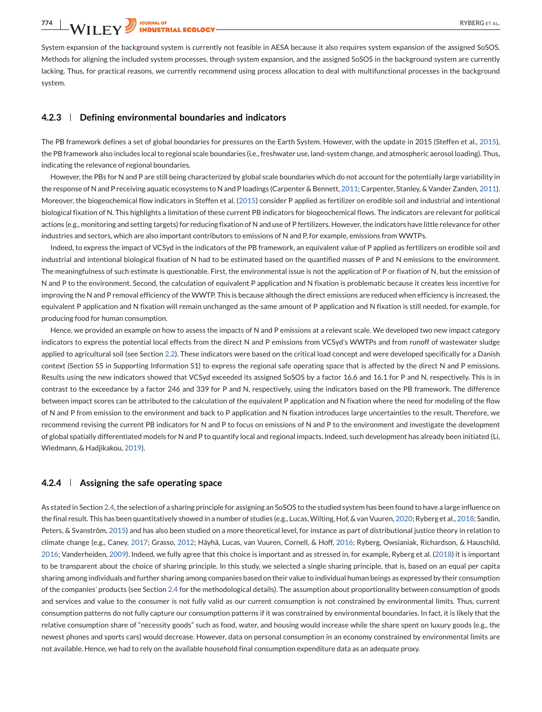<span id="page-10-0"></span>System expansion of the background system is currently not feasible in AESA because it also requires system expansion of the assigned SoSOS. Methods for aligning the included system processes, through system expansion, and the assigned SoSOS in the background system are currently lacking. Thus, for practical reasons, we currently recommend using process allocation to deal with multifunctional processes in the background system.

#### **4.2.3 Defining environmental boundaries and indicators**

The PB framework defines a set of global boundaries for pressures on the Earth System. However, with the update in 2015 (Steffen et al., [2015\)](#page-13-0), the PB framework also includes local to regional scale boundaries (i.e., freshwater use, land-system change, and atmospheric aerosol loading). Thus, indicating the relevance of regional boundaries.

However, the PBs for N and P are still being characterized by global scale boundaries which do not account for the potentially large variability in the response of N and P receiving aquatic ecosystems to N and P loadings (Carpenter & Bennett, [2011;](#page-11-0) Carpenter, Stanley, & Vander Zanden, [2011\)](#page-11-0). Moreover, the biogeochemical flow indicators in Steffen et al. [\(2015\)](#page-13-0) consider P applied as fertilizer on erodible soil and industrial and intentional biological fixation of N. This highlights a limitation of these current PB indicators for biogeochemical flows. The indicators are relevant for political actions (e.g., monitoring and setting targets) for reducing fixation of N and use of P fertilizers. However, the indicators have little relevance for other industries and sectors, which are also important contributors to emissions of N and P, for example, emissions from WWTPs.

Indeed, to express the impact of VCSyd in the indicators of the PB framework, an equivalent value of P applied as fertilizers on erodible soil and industrial and intentional biological fixation of N had to be estimated based on the quantified masses of P and N emissions to the environment. The meaningfulness of such estimate is questionable. First, the environmental issue is not the application of P or fixation of N, but the emission of N and P to the environment. Second, the calculation of equivalent P application and N fixation is problematic because it creates less incentive for improving the N and P removal efficiency of the WWTP. This is because although the direct emissions are reduced when efficiency is increased, the equivalent P application and N fixation will remain unchanged as the same amount of P application and N fixation is still needed, for example, for producing food for human consumption.

Hence, we provided an example on how to assess the impacts of N and P emissions at a relevant scale. We developed two new impact category indicators to express the potential local effects from the direct N and P emissions from VCSyd's WWTPs and from runoff of wastewater sludge applied to agricultural soil (see Section [2.2\)](#page-3-0). These indicators were based on the critical load concept and were developed specifically for a Danish context (Section S5 in Supporting Information S1) to express the regional safe operating space that is affected by the direct N and P emissions. Results using the new indicators showed that VCSyd exceeded its assigned SoSOS by a factor 16.6 and 16.1 for P and N, respectively. This is in contrast to the exceedance by a factor 246 and 339 for P and N, respectively, using the indicators based on the PB framework. The difference between impact scores can be attributed to the calculation of the equivalent P application and N fixation where the need for modeling of the flow of N and P from emission to the environment and back to P application and N fixation introduces large uncertainties to the result. Therefore, we recommend revising the current PB indicators for N and P to focus on emissions of N and P to the environment and investigate the development of global spatially differentiated models for N and P to quantify local and regional impacts. Indeed, such development has already been initiated (Li, Wiedmann, & Hadjikakou, [2019\)](#page-12-0).

#### **4.2.4 Assigning the safe operating space**

As stated in Section [2.4,](#page-5-0) the selection of a sharing principle for assigning an SoSOS to the studied system has been found to have a large influence on the final result. This has been quantitatively showed in a number of studies (e.g., Lucas,Wilting, Hof, & van Vuuren, [2020;](#page-12-0) Ryberg et al., [2018;](#page-13-0) Sandin, Peters, & Svanström, [2015\)](#page-13-0) and has also been studied on a more theoretical level, for instance as part of distributional justice theory in relation to climate change (e.g., Caney, [2017;](#page-11-0) Grasso, [2012;](#page-12-0) Häyhä, Lucas, van Vuuren, Cornell, & Hoff, [2016;](#page-12-0) Ryberg, Owsianiak, Richardson, & Hauschild, [2016;](#page-13-0) Vanderheiden, [2009\)](#page-13-0). Indeed, we fully agree that this choice is important and as stressed in, for example, Ryberg et al. [\(2018\)](#page-13-0) it is important to be transparent about the choice of sharing principle. In this study, we selected a single sharing principle, that is, based on an equal per capita sharing among individuals and further sharing among companies based on their value to individual human beings as expressed by their consumption of the companies' products (see Section [2.4](#page-5-0) for the methodological details). The assumption about proportionality between consumption of goods and services and value to the consumer is not fully valid as our current consumption is not constrained by environmental limits. Thus, current consumption patterns do not fully capture our consumption patterns if it was constrained by environmental boundaries. In fact, it is likely that the relative consumption share of "necessity goods" such as food, water, and housing would increase while the share spent on luxury goods (e.g., the newest phones and sports cars) would decrease. However, data on personal consumption in an economy constrained by environmental limits are not available. Hence, we had to rely on the available household final consumption expenditure data as an adequate proxy.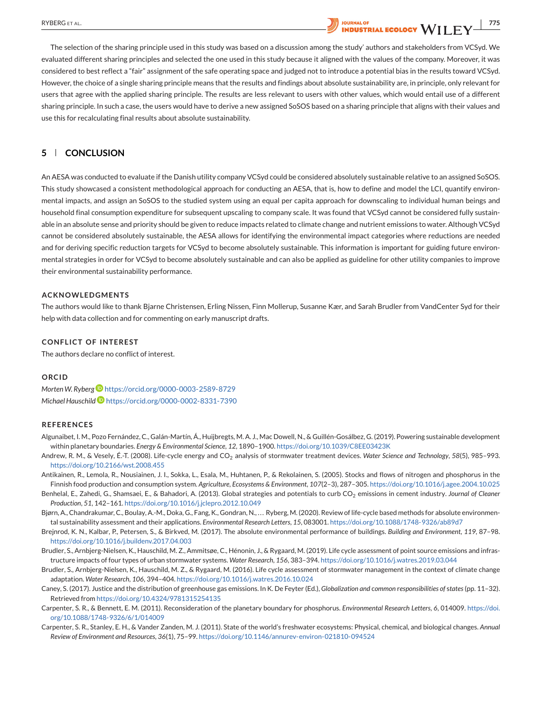# <span id="page-11-0"></span>RYBERG ET AL. **2000 PRESERVED A SUBSET AL. 775 POUR EXECUTE A SUBSET AL. <b>775 POUR EXECUTE A THE WEST RIGHT AND INDUSTRIAL ECOLOGY** WILL FV

The selection of the sharing principle used in this study was based on a discussion among the study' authors and stakeholders from VCSyd. We evaluated different sharing principles and selected the one used in this study because it aligned with the values of the company. Moreover, it was considered to best reflect a "fair" assignment of the safe operating space and judged not to introduce a potential bias in the results toward VCSyd. However, the choice of a single sharing principle means that the results and findings about absolute sustainability are, in principle, only relevant for users that agree with the applied sharing principle. The results are less relevant to users with other values, which would entail use of a different sharing principle. In such a case, the users would have to derive a new assigned SoSOS based on a sharing principle that aligns with their values and use this for recalculating final results about absolute sustainability.

## **5 CONCLUSION**

An AESA was conducted to evaluate if the Danish utility company VCSyd could be considered absolutely sustainable relative to an assigned SoSOS. This study showcased a consistent methodological approach for conducting an AESA, that is, how to define and model the LCI, quantify environmental impacts, and assign an SoSOS to the studied system using an equal per capita approach for downscaling to individual human beings and household final consumption expenditure for subsequent upscaling to company scale. It was found that VCSyd cannot be considered fully sustainable in an absolute sense and priority should be given to reduce impacts related to climate change and nutrient emissions to water. Although VCSyd cannot be considered absolutely sustainable, the AESA allows for identifying the environmental impact categories where reductions are needed and for deriving specific reduction targets for VCSyd to become absolutely sustainable. This information is important for guiding future environmental strategies in order for VCSyd to become absolutely sustainable and can also be applied as guideline for other utility companies to improve their environmental sustainability performance.

#### **ACKNOWLEDGMENTS**

The authors would like to thank Bjarne Christensen, Erling Nissen, Finn Mollerup, Susanne Kær, and Sarah Brudler from VandCenter Syd for their help with data collection and for commenting on early manuscript drafts.

#### **CONFLICT OF INTEREST**

The authors declare no conflict of interest.

#### **ORCID**

*MortenW. Ryberg* <https://orcid.org/0000-0003-2589-8729> *Michael Hauschil[d](https://orcid.org/0000-0002-8331-7390)* <https://orcid.org/0000-0002-8331-7390>

#### **REFERENCES**

- Algunaibet, I. M., Pozo Fernández, C., Galán-Martín, Á., Huijbregts, M. A. J., Mac Dowell, N., & Guillén-Gosálbez, G. (2019). Powering sustainable development within planetary boundaries. *Energy & Environmental Science*, *12*, 1890–1900. <https://doi.org/10.1039/C8EE03423K>
- Andrew, R. M., & Vesely, É.-T. (2008). Life-cycle energy and CO<sub>2</sub> analysis of stormwater treatment devices. Water Science and Technology, 58(5), 985-993. <https://doi.org/10.2166/wst.2008.455>
- Antikainen, R., Lemola, R., Nousiainen, J. I., Sokka, L., Esala, M., Huhtanen, P., & Rekolainen, S. (2005). Stocks and flows of nitrogen and phosphorus in the Finnish food production and consumption system. *Agriculture, Ecosystems & Environment*, *107*(2–3), 287–305. <https://doi.org/10.1016/j.agee.2004.10.025>
- Benhelal, E., Zahedi, G., Shamsaei, E., & Bahadori, A. (2013). Global strategies and potentials to curb CO<sub>2</sub> emissions in cement industry. *Journal of Cleaner Production*, *51*, 142–161. <https://doi.org/10.1016/j.jclepro.2012.10.049>
- Bjørn, A., Chandrakumar, C., Boulay, A.-M., Doka, G., Fang, K., Gondran, N., . . . Ryberg, M. (2020). Review of life-cycle based methods for absolute environmental sustainability assessment and their applications. *Environmental Research Letters*, *15*, 083001. <https://doi.org/10.1088/1748-9326/ab89d7>
- Brejnrod, K. N., Kalbar, P., Petersen, S., & Birkved, M. (2017). The absolute environmental performance of buildings. *Building and Environment*, *119*, 87–98. <https://doi.org/10.1016/j.buildenv.2017.04.003>
- Brudler, S., Arnbjerg-Nielsen, K., Hauschild, M. Z., Ammitsøe, C., Hénonin, J., & Rygaard, M. (2019). Life cycle assessment of point source emissions and infrastructure impacts of four types of urban stormwater systems. *Water Research*, *156*, 383–394. <https://doi.org/10.1016/j.watres.2019.03.044>
- Brudler, S., Arnbjerg-Nielsen, K., Hauschild, M. Z., & Rygaard, M. (2016). Life cycle assessment of stormwater management in the context of climate change adaptation. *Water Research*, *106*, 394–404. <https://doi.org/10.1016/j.watres.2016.10.024>
- Caney, S. (2017). Justice and the distribution of greenhouse gas emissions. In K. De Feyter (Ed.), *Globalization and* c*ommon* r*esponsibilities of* s*tates*(pp. 11–32). Retrieved from <https://doi.org/10.4324/9781315254135>
- Carpenter, S. R., & Bennett, E. M. (2011). Reconsideration of the planetary boundary for phosphorus. *Environmental Research Letters*, *6*, 014009. [https://doi.](https://doi.org/10.1088/1748-9326/6/1/014009) [org/10.1088/1748-9326/6/1/014009](https://doi.org/10.1088/1748-9326/6/1/014009)
- Carpenter, S. R., Stanley, E. H., & Vander Zanden, M. J. (2011). State of the world's freshwater ecosystems: Physical, chemical, and biological changes. *Annual Review of Environment and Resources*, *36*(1), 75–99. <https://doi.org/10.1146/annurev-environ-021810-094524>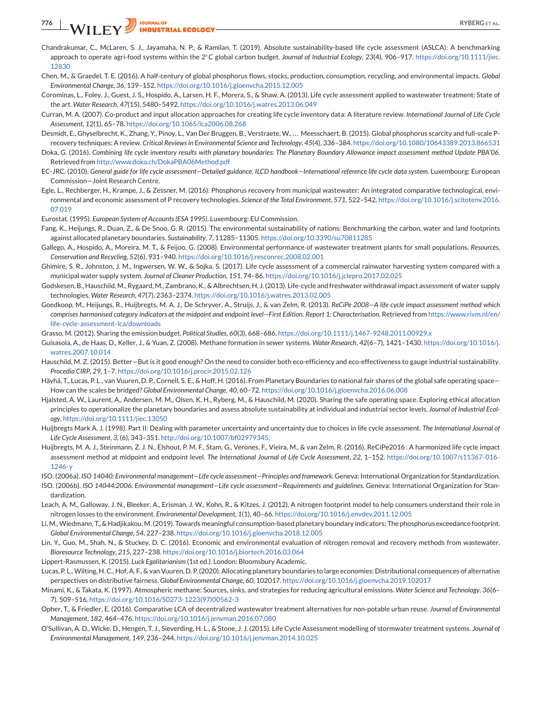- Chandrakumar, C., McLaren, S. J., Jayamaha, N. P., & Ramilan, T. (2019). Absolute sustainability-based life cycle assessment (ASLCA): A benchmarking approach to operate agri-food systems within the 2◦C global carbon budget. *Journal of Industrial Ecology*, *23*(4), 906–917. [https://doi.org/10.1111/jiec.](https://doi.org/10.1111/jiec.12830) [12830](https://doi.org/10.1111/jiec.12830)
- Chen, M., & Graedel, T. E. (2016). A half-century of global phosphorus flows, stocks, production, consumption, recycling, and environmental impacts. *Global Environmental Change*, *36*, 139–152. <https://doi.org/10.1016/j.gloenvcha.2015.12.005>
- Corominas, L., Foley, J., Guest, J. S., Hospido, A., Larsen, H. F., Morera, S., & Shaw, A. (2013). Life cycle assessment applied to wastewater treatment: State of the art. *Water Research*, *47*(15), 5480–5492. <https://doi.org/10.1016/j.watres.2013.06.049>
- Curran, M. A. (2007). Co-product and input allocation approaches for creating life cycle inventory data: A literature review. *International Journal of Life Cycle Assessment*, *12*(1), 65–78. <https://doi.org/10.1065/lca2006.08.268>
- Desmidt, E., Ghyselbrecht, K., Zhang, Y., Pinoy, L., Van Der Bruggen, B., Verstraete, W., ... Meesschaert, B. (2015). Global phosphorus scarcity and full-scale Precovery techniques: A review. *Critical Reviews in Environmental Science and Technology*, *45*(4), 336–384. <https://doi.org/10.1080/10643389.2013.866531>
- Doka, G. (2016). *Combining life cycle inventory results with planetary boundaries: The Planetary Boundary Allowance impact assessment method Update PBA'06*. Retrieved from <http://www.doka.ch/DokaPBA06Method.pdf>
- EC-JRC. (2010). *General guide for life cycle assessment—Detailed guidance. ILCD handbook—International reference life cycle data system*. Luxembourg: European Commission—Joint Research Centre.
- Egle, L., Rechberger, H., Krampe, J., & Zessner, M. (2016). Phosphorus recovery from municipal wastewater: An integrated comparative technological, environmental and economic assessment of P recovery technologies. *Science of the Total Environment*, *571*, 522–542. [https://doi.org/10.1016/j.scitotenv.2016.](https://doi.org/10.1016/j.scitotenv.2016.07.019) [07.019](https://doi.org/10.1016/j.scitotenv.2016.07.019)

Eurostat. (1995). *European System of Accounts (ESA 1995)*. Luxembourg: EU Commission.

- Fang, K., Heijungs, R., Duan, Z., & De Snoo, G. R. (2015). The environmental sustainability of nations: Benchmarking the carbon, water and land footprints against allocated planetary boundaries. *Sustainability*, *7*, 11285–11305. <https://doi.org/10.3390/su70811285>
- Gallego, A., Hospido, A., Moreira, M. T., & Feijoo, G. (2008). Environmental performance of wastewater treatment plants for small populations. *Resources, Conservation and Recycling*, *52*(6), 931–940. <https://doi.org/10.1016/j.resconrec.2008.02.001>
- Ghimire, S. R., Johnston, J. M., Ingwersen, W. W., & Sojka, S. (2017). Life cycle assessment of a commercial rainwater harvesting system compared with a municipal water supply system. *Journal of Cleaner Production*, *151*, 74–86. <https://doi.org/10.1016/j.jclepro.2017.02.025>
- Godskesen, B., Hauschild, M., Rygaard, M., Zambrano, K., & Albrechtsen, H. J. (2013). Life-cycle and freshwater withdrawal impact assessment of water supply technologies. *Water Research*, *47*(7), 2363–2374. <https://doi.org/10.1016/j.watres.2013.02.005>
- Goedkoop, M., Heijungs, R., Huijbregts, M. A. J., De Schryver, A., Struijs, J., & van Zelm, R. (2013). *ReCiPe 2008—A life cycle impact assessment method which comprises harmonised category indicators at the midpoint and endpoint level—First Edition. Report 1: Characterisation*. Retrieved from [https://www.rivm.nl/en/](https://www.rivm.nl/en/life-cycle-assessment-lca/downloads) [life-cycle-assessment-lca/downloads](https://www.rivm.nl/en/life-cycle-assessment-lca/downloads)
- Grasso, M. (2012). Sharing the emission budget. *Political Studies*, *60*(3), 668–686. <https://doi.org/10.1111/j.1467-9248.2011.00929.x>
- Guisasola, A., de Haas, D., Keller, J., & Yuan, Z. (2008). Methane formation in sewer systems. *Water Research*, *42*(6–7), 1421–1430. [https://doi.org/10.1016/j.](https://doi.org/10.1016/j.watres.2007.10.014) [watres.2007.10.014](https://doi.org/10.1016/j.watres.2007.10.014)
- Hauschild, M. Z. (2015). Better—But is it good enough? On the need to consider both eco-efficiency and eco-effectiveness to gauge industrial sustainability. *Procedia CIRP*, *29*, 1–7. <https://doi.org/10.1016/j.procir.2015.02.126>
- Häyhä, T., Lucas, P. L., van Vuuren, D. P., Cornell, S. E., & Hoff, H. (2016). From Planetary Boundaries to national fair shares of the global safe operating space-How can the scales be bridged? *Global Environmental Change*, *40*, 60–72. <https://doi.org/10.1016/j.gloenvcha.2016.06.008>
- Hjalsted, A. W., Laurent, A., Andersen, M. M., Olsen, K. H., Ryberg, M., & Hauschild, M. (2020). Sharing the safe operating space. Exploring ethical allocation principles to operationalize the planetary boundaries and assess absolute sustainability at individual and industrial sector levels. *Journal of Industrial Ecology*, <https://doi.org/10.1111/jiec.13050>
- Huijbregts Mark A. J. (1998). Part II: Dealing with parameter uncertainty and uncertainty due to choices in life cycle assessment. *The International Journal of Life Cycle Assessment*, *3*, (6), 343–351. [http://doi.org/10.1007/bf02979345.](http://doi.org/10.1007/bf02979345)
- Huijbregts, M. A. J., Steinmann, Z. J. N., Elshout, P. M. F., Stam, G., Verones, F., Vieira, M., & van Zelm, R. (2016). ReCiPe2016 : A harmonized life cycle impact assessment method at midpoint and endpoint level. *The International Journal of Life Cycle Assessment*, *22*, 1–152. [https://doi.org/10.1007/s11367-016-](https://doi.org/10.1007/s11367-016-1246-y) [1246-y](https://doi.org/10.1007/s11367-016-1246-y)
- ISO. (2006a). *ISO 14040: Environmental management—Life cycle assessment—Principles and framework*. Geneva: International Organization for Standardization.
- ISO. (2006b). *ISO 14044:2006. Environmental management—Life cycle assessment—Requirements and guidelines*. Geneva: International Organization for Standardization.
- Leach, A. M., Galloway, J. N., Bleeker, A., Erisman, J. W., Kohn, R., & Kitzes, J. (2012). A nitrogen footprint model to help consumers understand their role in nitrogen losses to the environment. *Environmental Development*, *1*(1), 40–66. <https://doi.org/10.1016/j.envdev.2011.12.005>
- Li, M.,Wiedmann, T., & Hadjikakou, M. (2019). Towards meaningful consumption-based planetary boundary indicators: The phosphorus exceedance footprint. *Global Environmental Change*, *54*, 227–238. <https://doi.org/10.1016/j.gloenvcha.2018.12.005>
- Lin, Y., Guo, M., Shah, N., & Stuckey, D. C. (2016). Economic and environmental evaluation of nitrogen removal and recovery methods from wastewater. *Bioresource Technology*, *215*, 227–238. <https://doi.org/10.1016/j.biortech.2016.03.064>
- Lippert-Rasmussen, K. (2015). *Luck Egalitarianism* (1st ed.). London: Bloomsbury Academic.
- Lucas, P. L.,Wilting, H. C., Hof, A. F., & van Vuuren, D. P. (2020). Allocating planetary boundaries to large economies: Distributional consequences of alternative perspectives on distributive fairness. *Global Environmental Change*, *60*, 102017. <https://doi.org/10.1016/j.gloenvcha.2019.102017>
- Minami, K., & Takata, K. (1997). Atmospheric methane: Sources, sinks, and strategies for reducing agricultural emissions. *Water Science and Technology*, *36*(6– 7), 509–516. [https://doi.org/10.1016/S0273-1223\(97\)00562-3](https://doi.org/10.1016/S0273-1223(97)00562-3)
- Opher, T., & Friedler, E. (2016). Comparative LCA of decentralized wastewater treatment alternatives for non-potable urban reuse. *Journal of Environmental Management*, *182*, 464–476. <https://doi.org/10.1016/j.jenvman.2016.07.080>
- O'Sullivan, A. D., Wicke, D., Hengen, T. J., Sieverding, H. L., & Stone, J. J. (2015). Life Cycle Assessment modelling of stormwater treatment systems. *Journal of Environmental Management*, *149*, 236–244. <https://doi.org/10.1016/j.jenvman.2014.10.025>

<span id="page-12-0"></span>